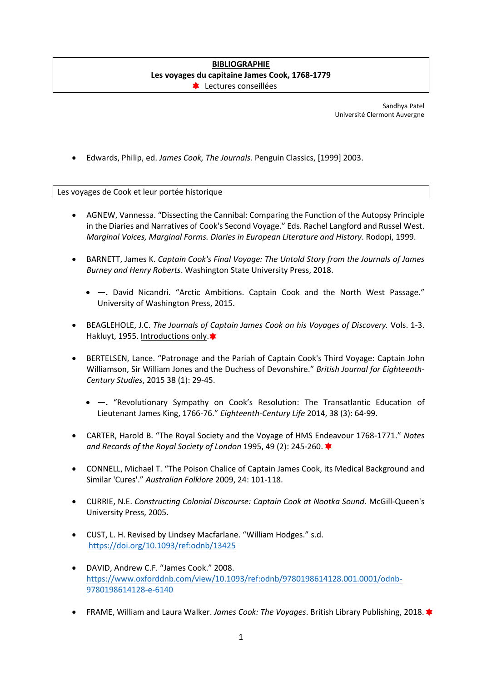## **BIBLIOGRAPHIE Les voyages du capitaine James Cook, 1768-1779 ELECTURES** conseillées

Sandhya Patel Université Clermont Auvergne

• Edwards, Philip, ed. *James Cook, The Journals.* Penguin Classics, [1999] 2003.

Les voyages de Cook et leur portée historique

- AGNEW, Vannessa. "Dissecting the Cannibal: Comparing the Function of the Autopsy Principle in the Diaries and Narratives of Cook's Second Voyage." Eds. Rachel Langford and Russel West. *Marginal Voices, Marginal Forms. Diaries in European Literature and History*. Rodopi, 1999.
- BARNETT, James K. *Captain Cook's Final Voyage: The Untold Story from the Journals of James Burney and Henry Roberts*. Washington State University Press, 2018.
	- **—.** David Nicandri. "Arctic Ambitions. Captain Cook and the North West Passage." University of Washington Press, 2015.
- BEAGLEHOLE, J.C. *The Journals of Captain James Cook on his Voyages of Discovery.* Vols. 1-3. Hakluyt, 1955. Introductions only.
- BERTELSEN, Lance. "Patronage and the Pariah of Captain Cook's Third Voyage: Captain John Williamson, Sir William Jones and the Duchess of Devonshire." *British Journal for Eighteenth-Century Studies*, 2015 38 (1): 29-45.
	- **—.** "Revolutionary Sympathy on Cook's Resolution: The Transatlantic Education of Lieutenant James King, 1766-76." *Eighteenth-Century Life* 2014, 38 (3): 64-99.
- CARTER, Harold B. "The Royal Society and the Voyage of HMS Endeavour 1768-1771." *Notes and Records of the Royal Society of London* 1995, 49 (2): 245-260.
- CONNELL, Michael T. "The Poison Chalice of Captain James Cook, its Medical Background and Similar 'Cures'." *Australian Folklore* 2009, 24: 101-118.
- CURRIE, N.E. *Constructing Colonial Discourse: Captain Cook at Nootka Sound*. McGill-Queen's University Press, 2005.
- CUST, L. H. Revised by Lindsey Macfarlane. "William Hodges." s.d. <https://doi.org/10.1093/ref:odnb/13425>
- DAVID, Andrew C.F. "James Cook." 2008. [https://www.oxforddnb.com/view/10.1093/ref:odnb/9780198614128.001.0001/odnb-](https://www.oxforddnb.com/view/10.1093/ref:odnb/9780198614128.001.0001/odnb-9780198614128-e-6140)[9780198614128-e-6140](https://www.oxforddnb.com/view/10.1093/ref:odnb/9780198614128.001.0001/odnb-9780198614128-e-6140)
- FRAME, William and Laura Walker. *James Cook: The Voyages*. British Library Publishing, 2018.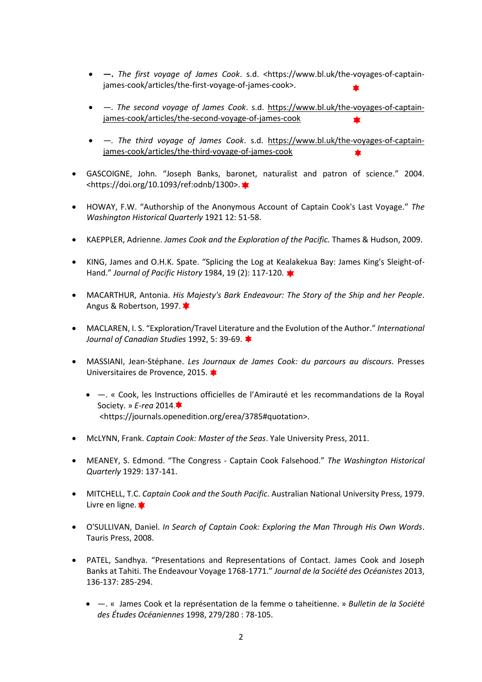- **—.** *The first voyage of James Cook*. s.d. <https://www.bl.uk/the-voyages-of-captainjames-cook/articles/the-first-voyage-of-james-cook>.
- *—. The second voyage of James Cook*. s.d. [https://www.bl.uk/the-voyages-of-captain](https://www.bl.uk/the-voyages-of-captain-james-cook/articles/the-second-voyage-of-james-cook)[james-cook/articles/the-second-voyage-of-james-cook](https://www.bl.uk/the-voyages-of-captain-james-cook/articles/the-second-voyage-of-james-cook)
- *—. The third voyage of James Cook*. s.d. [https://www.bl.uk/the-voyages-of-captain](https://www.bl.uk/the-voyages-of-captain-james-cook/articles/the-third-voyage-of-james-cook)[james-cook/articles/the-third-voyage-of-james-cook](https://www.bl.uk/the-voyages-of-captain-james-cook/articles/the-third-voyage-of-james-cook)
- GASCOIGNE, John. "Joseph Banks, baronet, naturalist and patron of science." 2004. <https://doi.org/10.1093/ref:odnb/1300>.
- HOWAY, F.W. "Authorship of the Anonymous Account of Captain Cook's Last Voyage." *The Washington Historical Quarterly* 1921 12: 51-58.
- KAEPPLER, Adrienne. *James Cook and the Exploration of the Pacific.* Thames & Hudson, 2009.
- KING, James and O.H.K. Spate. "Splicing the Log at Kealakekua Bay: James King's Sleight-of-Hand." *Journal of Pacific History* 1984, 19 (2): 117-120.
- MACARTHUR, Antonia. *His Majesty's Bark Endeavour: The Story of the Ship and her People*. Angus & Robertson, 1997.
- MACLAREN, I. S. "Exploration/Travel Literature and the Evolution of the Author." *International Journal of Canadian Studies* 1992, 5: 39-69.
- MASSIANI, Jean-Stéphane. *Les Journaux de James Cook: du parcours au discours*. Presses Universitaires de Provence, 2015.
	- —. « Cook, les Instructions officielles de l'Amirauté et les recommandations de la Royal Society. » *E-rea* 2014. <https://journals.openedition.org/erea/3785#quotation>.
- McLYNN, Frank. *Captain Cook: Master of the Seas*. Yale University Press, 2011.
- MEANEY, S. Edmond. "The Congress Captain Cook Falsehood." *The Washington Historical Quarterly* 1929: 137-141.
- MITCHELL, T.C. *Captain Cook and the South Pacific*. Australian National University Press, 1979. Livre en ligne.
- O'SULLIVAN, Daniel. *In Search of Captain Cook: Exploring the Man Through His Own Words*. Tauris Press, 2008.
- PATEL, Sandhya. "Presentations and Representations of Contact. James Cook and Joseph Banks at Tahiti. The Endeavour Voyage 1768-1771." *Journal de la Société des Océanistes* 2013, 136-137: 285-294.
	- —. « James Cook et la représentation de la femme o taheitienne. » *Bulletin de la Société des Études Océaniennes* 1998, 279/280 : 78-105.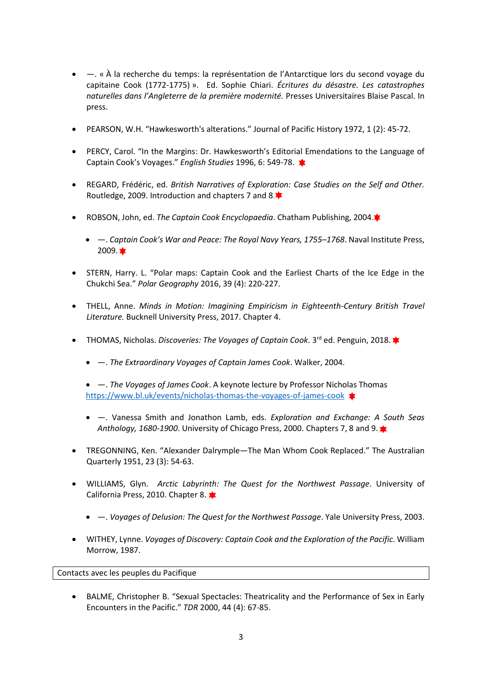- —. « À la recherche du temps: la représentation de l'Antarctique lors du second voyage du capitaine Cook (1772-1775) ». Ed. Sophie Chiari. *Écritures du désastre. Les catastrophes naturelles dans l'Angleterre de la première modernité.* Presses Universitaires Blaise Pascal. In press.
- PEARSON, W.H. "Hawkesworth's alterations." Journal of Pacific History 1972, 1 (2): 45-72.
- PERCY, Carol. "In the Margins: Dr. Hawkesworth's Editorial Emendations to the Language of Captain Cook's Voyages." *English Studies* 1996, 6: 549-78.
- REGARD, Frédéric, ed. *British Narratives of Exploration: Case Studies on the Self and Other.* Routledge, 2009. Introduction and chapters 7 and 8.
- ROBSON, John, ed. *The Captain Cook Encyclopaedia*. Chatham Publishing, 2004.
	- —. *Captain Cook's War and Peace: The Royal Navy Years, 1755–1768*. Naval Institute Press,  $2009.$
- STERN, Harry. L. "Polar maps: Captain Cook and the Earliest Charts of the Ice Edge in the Chukchi Sea." *Polar Geography* 2016, 39 (4): 220-227.
- THELL, Anne. *Minds in Motion: Imagining Empiricism in Eighteenth-Century British Travel Literature.* Bucknell University Press, 2017. Chapter 4.
- THOMAS, Nicholas. *Discoveries: The Voyages of Captain Cook*. 3rd ed. Penguin, 2018.
	- —. *The Extraordinary Voyages of Captain James Cook*. Walker, 2004.
	- —. *The Voyages of James Cook*. A keynote lecture by Professor Nicholas Thomas <https://www.bl.uk/events/nicholas-thomas-the-voyages-of-james-cook>
	- —. Vanessa Smith and Jonathon Lamb, eds. *Exploration and Exchange: A South Seas Anthology, 1680-1900*. University of Chicago Press, 2000. Chapters 7, 8 and 9.
- TREGONNING, Ken. "Alexander Dalrymple—The Man Whom Cook Replaced." The Australian Quarterly 1951, 23 (3): 54-63.
- WILLIAMS, Glyn. *Arctic Labyrinth: The Quest for the Northwest Passage*. University of California Press, 2010. Chapter 8.
	- —. *Voyages of Delusion: The Quest for the Northwest Passage*. Yale University Press, 2003.
- WITHEY, Lynne. *Voyages of Discovery: Captain Cook and the Exploration of the Pacific*. William Morrow, 1987.

Contacts avec les peuples du Pacifique

• BALME, Christopher B. "Sexual Spectacles: Theatricality and the Performance of Sex in Early Encounters in the Pacific." *TDR* 2000, 44 (4): 67-85.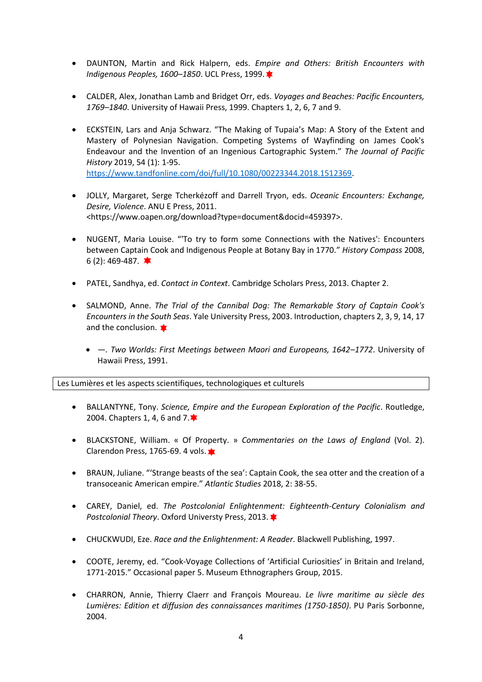- DAUNTON, Martin and Rick Halpern, eds. *Empire and Others: British Encounters with Indigenous Peoples, 1600–1850*. UCL Press, 1999.
- CALDER, Alex, Jonathan Lamb and Bridget Orr, eds. *Voyages and Beaches: Pacific Encounters, 1769–1840*. University of Hawaii Press, 1999. Chapters 1, 2, 6, 7 and 9.
- ECKSTEIN, Lars and Anja Schwarz. "The Making of Tupaia's Map: A Story of the Extent and Mastery of Polynesian Navigation. Competing Systems of Wayfinding on James Cook's Endeavour and the Invention of an Ingenious Cartographic System." *The Journal of Pacific History* 2019, 54 (1): 1-95. [https://www.tandfonline.com/doi/full/10.1080/00223344.2018.1512369.](https://www.tandfonline.com/doi/full/10.1080/00223344.2018.1512369)
- JOLLY, Margaret, Serge Tcherkézoff and Darrell Tryon, eds. *Oceanic Encounters: Exchange, Desire, Violence*. ANU E Press, 2011. <https://www.oapen.org/download?type=document&docid=459397>.
- NUGENT, Maria Louise. "'To try to form some Connections with the Natives': Encounters between Captain Cook and Indigenous People at Botany Bay in 1770." *History Compass* 2008, 6 (2): 469-487.  $\bullet$
- PATEL, Sandhya, ed. *Contact in Context*. Cambridge Scholars Press, 2013. Chapter 2.
- SALMOND, Anne. *The Trial of the Cannibal Dog: The Remarkable Story of Captain Cook's Encounters in the South Seas*. Yale University Press, 2003. Introduction, chapters 2, 3, 9, 14, 17 and the conclusion.
	- *—. Two Worlds: First Meetings between Maori and Europeans, 1642–1772*. University of Hawaii Press, 1991.

Les Lumières et les aspects scientifiques, technologiques et culturels

- BALLANTYNE, Tony. *Science, Empire and the European Exploration of the Pacific*. Routledge, 2004. Chapters 1, 4, 6 and 7. <sup>★</sup>
- BLACKSTONE, William. « Of Property. » *Commentaries on the Laws of England* (Vol. 2). Clarendon Press, 1765-69. 4 vols.
- BRAUN, Juliane. "'Strange beasts of the sea': Captain Cook, the sea otter and the creation of a transoceanic American empire." *Atlantic Studies* 2018, 2: 38-55.
- CAREY, Daniel, ed. *The Postcolonial Enlightenment: Eighteenth-Century Colonialism and Postcolonial Theory*. Oxford Universty Press, 2013.
- CHUCKWUDI, Eze. *Race and the Enlightenment: A Reader*. Blackwell Publishing, 1997.
- COOTE, Jeremy, ed. "Cook-Voyage Collections of 'Artificial Curiosities' in Britain and Ireland, 1771-2015." Occasional paper 5. Museum Ethnographers Group, 2015.
- CHARRON, Annie, Thierry Claerr and François Moureau. *Le livre maritime au siècle des Lumières: Edition et diffusion des connaissances maritimes (1750-1850)*. PU Paris Sorbonne, 2004.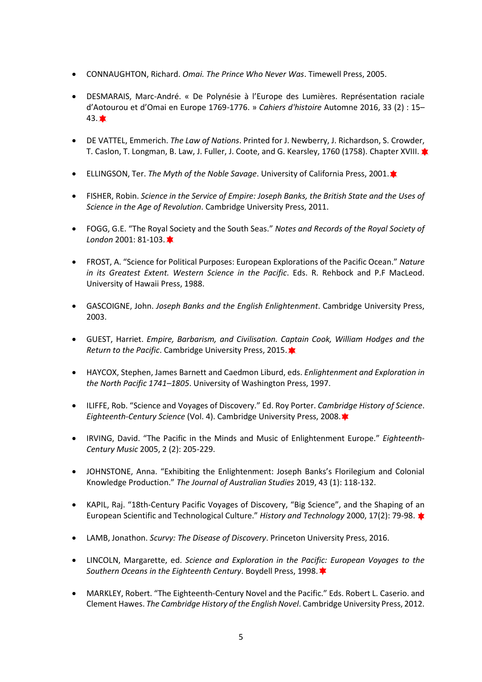- CONNAUGHTON, Richard. *Omai. The Prince Who Never Was*. Timewell Press, 2005.
- DESMARAIS, Marc-André. « De Polynésie à l'Europe des Lumières. Représentation raciale d'Aotourou et d'Omai en Europe 1769-1776. » *Cahiers d'histoire* Automne 2016, 33 (2) : 15–  $43.$
- DE VATTEL, Emmerich. *The Law of Nations*. Printed for J. Newberry, J. Richardson, S. Crowder, T. Caslon, T. Longman, B. Law, J. Fuller, J. Coote, and G. Kearsley, 1760 (1758). Chapter XVIII. \*
- ELLINGSON, Ter. *The Myth of the Noble Savage*. University of California Press, 2001. $\blacktriangleright$
- FISHER, Robin. *Science in the Service of Empire: Joseph Banks, the British State and the Uses of Science in the Age of Revolution*. Cambridge University Press, 2011.
- FOGG, G.E. "The Royal Society and the South Seas." *Notes and Records of the Royal Society of London* 2001: 81-103.
- FROST, A. "Science for Political Purposes: European Explorations of the Pacific Ocean." *Nature in its Greatest Extent. Western Science in the Pacific*. Eds. R. Rehbock and P.F MacLeod. University of Hawaii Press, 1988.
- GASCOIGNE, John. *Joseph Banks and the English Enlightenment*. Cambridge University Press, 2003.
- GUEST, Harriet. *Empire, Barbarism, and Civilisation. Captain Cook, William Hodges and the Return to the Pacific*. Cambridge University Press, 2015.
- HAYCOX, Stephen, James Barnett and Caedmon Liburd, eds. *Enlightenment and Exploration in the North Pacific 1741–1805*. University of Washington Press, 1997.
- ILIFFE, Rob. "Science and Voyages of Discovery." Ed. Roy Porter. *Cambridge History of Science*. *Eighteenth-Century Science* (Vol. 4). Cambridge University Press, 2008.
- IRVING, David. "The Pacific in the Minds and Music of Enlightenment Europe." *Eighteenth-Century Music* 2005, 2 (2): 205-229.
- JOHNSTONE, Anna. "Exhibiting the Enlightenment: Joseph Banks's Florilegium and Colonial Knowledge Production." *The Journal of Australian Studies* 2019, 43 (1): 118-132.
- KAPIL, Raj. "18th‐Century Pacific Voyages of Discovery, "Big Science", and the Shaping of an European Scientific and Technological Culture." *History and Technology* 2000, 17(2): 79-98.
- LAMB, Jonathon. *Scurvy: The Disease of Discovery*. Princeton University Press, 2016.
- LINCOLN, Margarette, ed. *Science and Exploration in the Pacific: European Voyages to the Southern Oceans in the Eighteenth Century*. Boydell Press, 1998.
- MARKLEY, Robert. "The Eighteenth-Century Novel and the Pacific." Eds. Robert L. Caserio. and Clement Hawes. *The Cambridge History of the English Novel*. Cambridge University Press, 2012.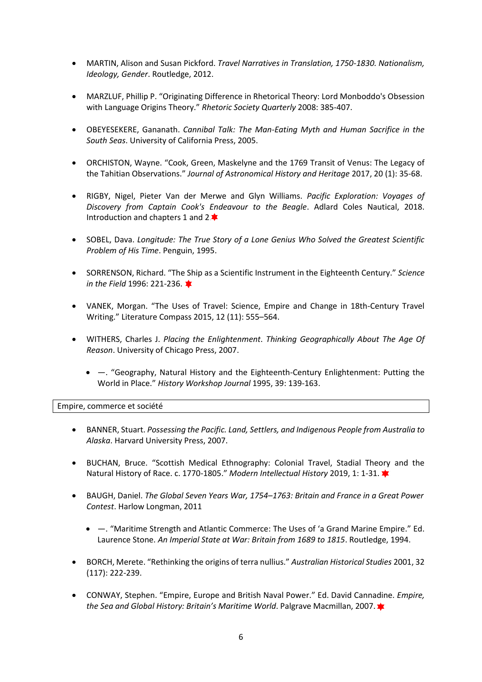- MARTIN, Alison and Susan Pickford. *Travel Narratives in Translation, 1750-1830. Nationalism, Ideology, Gender*. Routledge, 2012.
- MARZLUF, Phillip P. "Originating Difference in Rhetorical Theory: Lord Monboddo's Obsession with Language Origins Theory." *Rhetoric Society Quarterly* 2008: 385-407.
- OBEYESEKERE, Gananath. *Cannibal Talk: The Man‐Eating Myth and Human Sacrifice in the South Seas*. University of California Press, 2005.
- ORCHISTON, Wayne. "Cook, Green, Maskelyne and the 1769 Transit of Venus: The Legacy of the Tahitian Observations." *Journal of Astronomical History and Heritage* 2017, 20 (1): 35-68.
- RIGBY, Nigel, Pieter Van der Merwe and Glyn Williams. *Pacific Exploration: Voyages of Discovery from Captain Cook's Endeavour to the Beagle*. Adlard Coles Nautical, 2018. Introduction and chapters 1 and 2.<sup> $\blacklozenge$ </sup>
- SOBEL, Dava. *Longitude: The True Story of a Lone Genius Who Solved the Greatest Scientific Problem of His Time*. Penguin, 1995.
- SORRENSON, Richard. "The Ship as a Scientific Instrument in the Eighteenth Century." *Science in the Field* 1996: 221-236.
- VANEK, Morgan. "The Uses of Travel: Science, Empire and Change in 18th-Century Travel Writing." Literature Compass 2015, 12 (11): 555–564.
- WITHERS, Charles J. *Placing the Enlightenment*. *Thinking Geographically About The Age Of Reason*. University of Chicago Press, 2007.
	- —. "Geography, Natural History and the Eighteenth-Century Enlightenment: Putting the World in Place." *History Workshop Journal* 1995, 39: 139-163.

Empire, commerce et société

- BANNER, Stuart. *Possessing the Pacific. Land, Settlers, and Indigenous People from Australia to Alaska*. Harvard University Press, 2007.
- BUCHAN, Bruce. "Scottish Medical Ethnography: Colonial Travel, Stadial Theory and the Natural History of Race. c. 1770-1805." *Modern Intellectual History* 2019, 1: 1-31.
- BAUGH, Daniel. *The Global Seven Years War, 1754–1763: Britain and France in a Great Power Contest*. Harlow Longman, 2011
	- —. "Maritime Strength and Atlantic Commerce: The Uses of 'a Grand Marine Empire." Ed. Laurence Stone. *An Imperial State at War: Britain from 1689 to 1815*. Routledge, 1994.
- BORCH, Merete. "Rethinking the origins of terra nullius." *Australian Historical Studies* 2001, 32 (117): 222-239.
- CONWAY, Stephen. "Empire, Europe and British Naval Power." Ed. David Cannadine. *Empire, the Sea and Global History: Britain's Maritime World*. Palgrave Macmillan, 2007.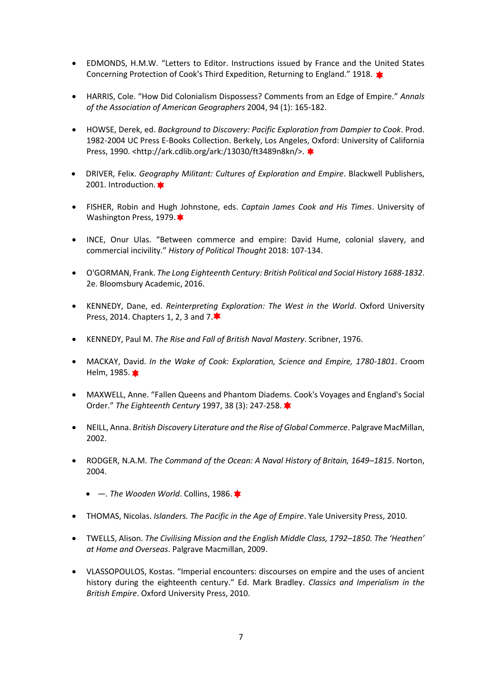- EDMONDS, H.M.W. "Letters to Editor. Instructions issued by France and the United States Concerning Protection of Cook's Third Expedition, Returning to England." 1918.
- HARRIS, Cole. "How Did Colonialism Dispossess? Comments from an Edge of Empire." *Annals of the Association of American Geographers* 2004, 94 (1): 165-182.
- HOWSE, Derek, ed. *Background to Discovery: Pacific Exploration from Dampier to Cook*. Prod. 1982-2004 UC Press E-Books Collection. Berkely, Los Angeles, Oxford: University of California Press, 1990. <http://ark.cdlib.org/ark:/13030/ft3489n8kn/>.
- DRIVER, Felix. *Geography Militant: Cultures of Exploration and Empire*. Blackwell Publishers, 2001. Introduction.
- FISHER, Robin and Hugh Johnstone, eds. *Captain James Cook and His Times*. University of Washington Press, 1979.  $\star$
- INCE, Onur Ulas. "Between commerce and empire: David Hume, colonial slavery, and commercial incivility." *History of Political Thought* 2018: 107-134.
- O'GORMAN, Frank. *The Long Eighteenth Century: British Political and Social History 1688-1832*. 2e. Bloomsbury Academic, 2016.
- KENNEDY, Dane, ed. *Reinterpreting Exploration: The West in the World*. Oxford University Press, 2014. Chapters 1, 2, 3 and 7.<sup>★</sup>
- KENNEDY, Paul M. *The Rise and Fall of British Naval Mastery*. Scribner, 1976.
- MACKAY, David. *In the Wake of Cook: Exploration, Science and Empire, 1780-1801*. Croom Helm, 1985.
- MAXWELL, Anne. "Fallen Queens and Phantom Diadems. Cook's Voyages and England's Social Order." *The Eighteenth Century* 1997, 38 (3): 247-258.
- NEILL, Anna. *British Discovery Literature and the Rise of Global Commerce*. Palgrave MacMillan, 2002.
- RODGER, N.A.M. *The Command of the Ocean: A Naval History of Britain, 1649–1815*. Norton, 2004.
	- *—. The Wooden World*. Collins, 1986.
- THOMAS, Nicolas. *Islanders. The Pacific in the Age of Empire*. Yale University Press, 2010.
- TWELLS, Alison. *The Civilising Mission and the English Middle Class, 1792–1850. The 'Heathen' at Home and Overseas*. Palgrave Macmillan, 2009.
- VLASSOPOULOS, Kostas. "Imperial encounters: discourses on empire and the uses of ancient history during the eighteenth century." Ed. Mark Bradley. *Classics and Imperialism in the British Empire*. Oxford University Press, 2010.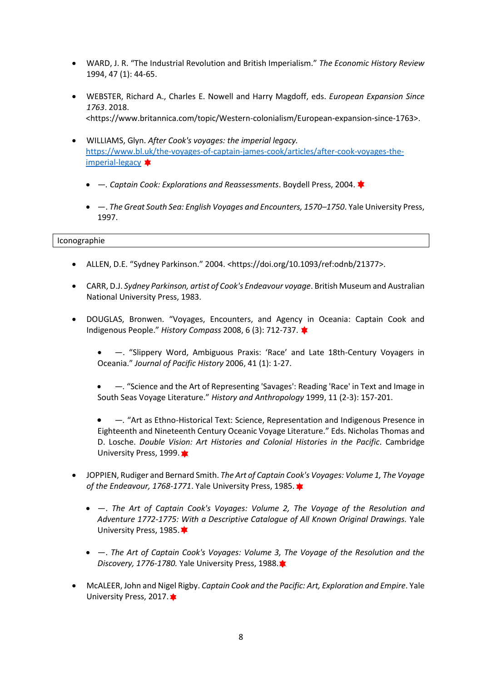- WARD, J. R. "The Industrial Revolution and British Imperialism." *The Economic History Review* 1994, 47 (1): 44-65.
- WEBSTER, Richard A., Charles E. Nowell and Harry Magdoff, eds. *European Expansion Since 1763*. 2018. <https://www.britannica.com/topic/Western-colonialism/European-expansion-since-1763>.
- WILLIAMS, Glyn. *After Cook's voyages: the imperial legacy.*  [https://www.bl.uk/the-voyages-of-captain-james-cook/articles/after-cook-voyages-the](https://www.bl.uk/the-voyages-of-captain-james-cook/articles/after-cook-voyages-the-imperial-legacy)[imperial-legacy](https://www.bl.uk/the-voyages-of-captain-james-cook/articles/after-cook-voyages-the-imperial-legacy)  $\bigstar$ 
	- *—. Captain Cook: Explorations and Reassessments*. Boydell Press, 2004.
	- —. *The Great South Sea: English Voyages and Encounters, 1570–1750*. Yale University Press, 1997.

Iconographie

- ALLEN, D.E. "Sydney Parkinson." 2004. <https://doi.org/10.1093/ref:odnb/21377>.
- CARR, D.J. *Sydney Parkinson, artist of Cook's Endeavour voyage*. British Museum and Australian National University Press, 1983.
- DOUGLAS, Bronwen. "Voyages, Encounters, and Agency in Oceania: Captain Cook and Indigenous People." *History Compass* 2008, 6 (3): 712-737.
	- —. "Slippery Word, Ambiguous Praxis: 'Race' and Late 18th-Century Voyagers in Oceania." *Journal of Pacific History* 2006, 41 (1): 1-27.
	- *—.* "Science and the Art of Representing 'Savages': Reading 'Race' in Text and Image in South Seas Voyage Literature." *History and Anthropology* 1999, 11 (2-3): 157-201.
	- *—.* "Art as Ethno-Historical Text: Science, Representation and Indigenous Presence in Eighteenth and Nineteenth Century Oceanic Voyage Literature." Eds. Nicholas Thomas and D. Losche. *Double Vision: Art Histories and Colonial Histories in the Pacific*. Cambridge University Press, 1999.
- JOPPIEN, Rudiger and Bernard Smith. *The Art of Captain Cook's Voyages: Volume 1, The Voyage of the Endeavour, 1768-1771*. Yale University Press, 1985.
	- —. *The Art of Captain Cook's Voyages: Volume 2, The Voyage of the Resolution and Adventure 1772-1775: With a Descriptive Catalogue of All Known Original Drawings.* Yale University Press, 1985.
	- —. *The Art of Captain Cook's Voyages: Volume 3, The Voyage of the Resolution and the Discovery, 1776-1780.* Yale University Press, 1988.
- McALEER, John and Nigel Rigby. *Captain Cook and the Pacific: Art, Exploration and Empire*. Yale University Press, 2017. **★**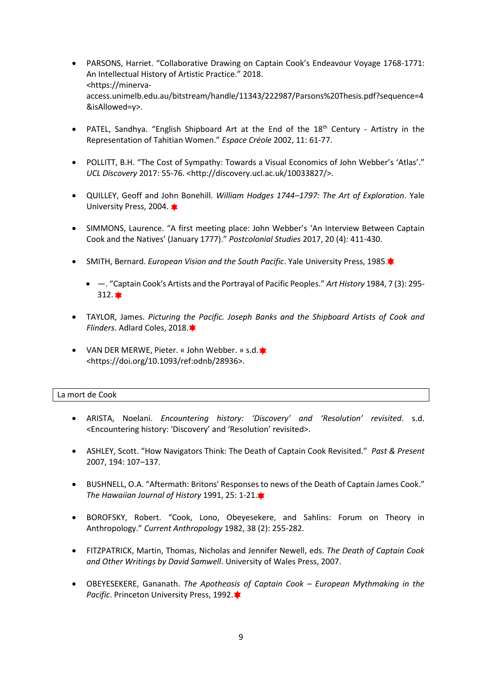- PARSONS, Harriet. "Collaborative Drawing on Captain Cook's Endeavour Voyage 1768-1771: An Intellectual History of Artistic Practice." 2018. <https://minervaaccess.unimelb.edu.au/bitstream/handle/11343/222987/Parsons%20Thesis.pdf?sequence=4 &isAllowed=y>.
- PATEL, Sandhya. "English Shipboard Art at the End of the 18<sup>th</sup> Century Artistry in the Representation of Tahitian Women." *Espace Créole* 2002, 11: 61-77.
- POLLITT, B.H. "The Cost of Sympathy: Towards a Visual Economics of John Webber's 'Atlas'." *UCL Discovery* 2017: 55-76. <http://discovery.ucl.ac.uk/10033827/>.
- QUILLEY, Geoff and John Bonehill. *William Hodges 1744–1797: The Art of Exploration*. Yale University Press, 2004. **★**
- SIMMONS, Laurence. "A first meeting place: John Webber's 'An Interview Between Captain Cook and the Natives' (January 1777)." *Postcolonial Studies* 2017, 20 (4)*:* 411-430.
- SMITH, Bernard. *European Vision and the South Pacific*. Yale University Press, 1985.
	- —. "Captain Cook's Artists and the Portrayal of Pacific Peoples." *Art History* 1984, 7 (3): 295-  $312.$   $\star$
- TAYLOR, James. *Picturing the Pacific. Joseph Banks and the Shipboard Artists of Cook and Flinders*. Adlard Coles, 2018.
- VAN DER MERWE, Pieter. « John Webber. » s.d. \* <https://doi.org/10.1093/ref:odnb/28936>.

## La mort de Cook

- ARISTA, Noelani. *Encountering history: 'Discovery' and 'Resolution' revisited*. s.d. <Encountering history: 'Discovery' and 'Resolution' revisited>.
- ASHLEY, Scott. "How Navigators Think: The Death of Captain Cook Revisited." *Past & Present* 2007, 194: 107–137.
- BUSHNELL, O.A. "Aftermath: Britons' Responses to news of the Death of Captain James Cook." *The Hawaiian Journal of History* 1991, 25: 1-21.
- BOROFSKY, Robert. "Cook, Lono, Obeyesekere, and Sahlins: Forum on Theory in Anthropology." *Current Anthropology* 1982, 38 (2): 255-282.
- FITZPATRICK, Martin, Thomas, Nicholas and Jennifer Newell, eds. *The Death of Captain Cook and Other Writings by David Samwell*. University of Wales Press, 2007.
- OBEYESEKERE, Gananath. *The Apotheosis of Captain Cook – European Mythmaking in the Pacific*. Princeton University Press, 1992.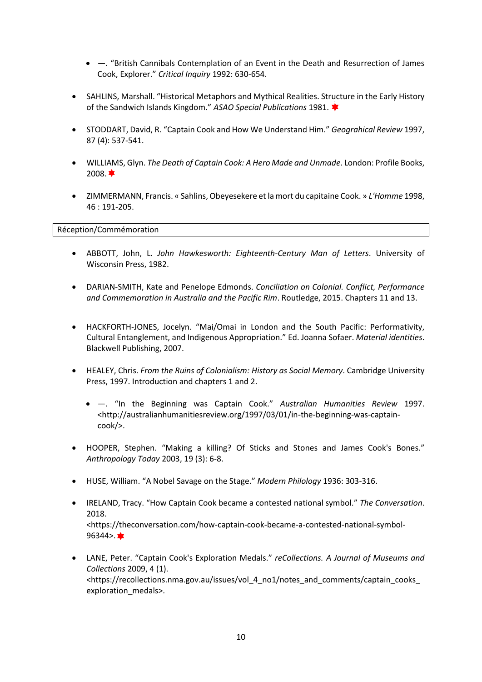- *—.* "British Cannibals Contemplation of an Event in the Death and Resurrection of James Cook, Explorer." *Critical Inquiry* 1992: 630-654.
- SAHLINS, Marshall. "Historical Metaphors and Mythical Realities. Structure in the Early History of the Sandwich Islands Kingdom." *ASAO Special Publications* 1981.
- STODDART, David, R. "Captain Cook and How We Understand Him." *Geograhical Review* 1997, 87 (4): 537-541.
- WILLIAMS, Glyn. *The Death of Captain Cook: A Hero Made and Unmade*. London: Profile Books,  $2008.$   $\bullet$
- ZIMMERMANN, Francis. « Sahlins, Obeyesekere et la mort du capitaine Cook. » *L'Homme* 1998, 46 : 191-205.

## Réception/Commémoration

- ABBOTT, John, L. *John Hawkesworth: Eighteenth-Century Man of Letters*. University of Wisconsin Press, 1982.
- DARIAN-SMITH, Kate and Penelope Edmonds. *Conciliation on Colonial. Conflict, Performance and Commemoration in Australia and the Pacific Rim*. Routledge, 2015. Chapters 11 and 13.
- HACKFORTH‐JONES, Jocelyn. "Mai/Omai in London and the South Pacific: Performativity, Cultural Entanglement, and Indigenous Appropriation." Ed. Joanna Sofaer. *Material identities*. Blackwell Publishing, 2007.
- HEALEY, Chris. *From the Ruins of Colonialism: History as Social Memory*. Cambridge University Press, 1997. Introduction and chapters 1 and 2.
	- —. "In the Beginning was Captain Cook." *Australian Humanities Review* 1997. <http://australianhumanitiesreview.org/1997/03/01/in-the-beginning-was-captaincook/>.
- HOOPER, Stephen. "Making a killing? Of Sticks and Stones and James Cook's Bones." *Anthropology Today* 2003, 19 (3): 6-8.
- HUSE, William. "A Nobel Savage on the Stage." *Modern Philology* 1936: 303-316.
- IRELAND, Tracy. "How Captain Cook became a contested national symbol." *The Conversation*. 2018. <https://theconversation.com/how-captain-cook-became-a-contested-national-symbol- $96344 >$
- LANE, Peter. "Captain Cook's Exploration Medals." *reCollections. A Journal of Museums and Collections* 2009, 4 (1). <https://recollections.nma.gov.au/issues/vol\_4\_no1/notes\_and\_comments/captain\_cooks\_ exploration\_medals>.